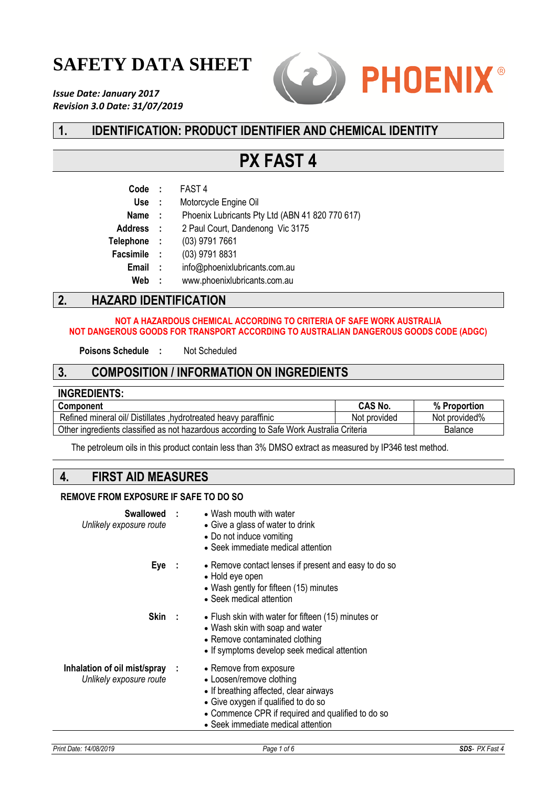# **SAFETY DATA SHEET**

*Issue Date: January 2017 Revision 3.0 Date: 31/07/2019*



# **1. IDENTIFICATION: PRODUCT IDENTIFIER AND CHEMICAL IDENTITY**

# **PX FAST 4**

| Code             | - 11           | FAST <sub>4</sub>                               |
|------------------|----------------|-------------------------------------------------|
| <b>Use</b>       | $\mathbb{R}^2$ | Motorcycle Engine Oil                           |
| <b>Name</b>      | - 1            | Phoenix Lubricants Pty Ltd (ABN 41 820 770 617) |
| <b>Address</b>   | $\sim$ 1       | 2 Paul Court, Dandenong Vic 3175                |
| <b>Telephone</b> | - 1            | (03) 9791 7661                                  |
| <b>Facsimile</b> | $\sim$ 1       | (03) 9791 8831                                  |
| <b>Email</b>     | $\mathbf{r}$   | info@phoenixlubricants.com.au                   |
| Web              | ÷              | www.phoenixlubricants.com.au                    |
|                  |                |                                                 |

# **2. HAZARD IDENTIFICATION**

#### **NOT A HAZARDOUS CHEMICAL ACCORDING TO CRITERIA OF SAFE WORK AUSTRALIA NOT DANGEROUS GOODS FOR TRANSPORT ACCORDING TO AUSTRALIAN DANGEROUS GOODS CODE (ADGC)**

**Poisons Schedule :** Not Scheduled

## **3. COMPOSITION / INFORMATION ON INGREDIENTS**

| <b>INGREDIENTS:</b>                                                                     |                |               |
|-----------------------------------------------------------------------------------------|----------------|---------------|
| <b>Component</b>                                                                        | <b>CAS No.</b> | % Proportion  |
| Refined mineral oil/ Distillates , hydrotreated heavy paraffinic                        | Not provided   | Not provided% |
| Other ingredients classified as not hazardous according to Safe Work Australia Criteria |                | Balance       |

The petroleum oils in this product contain less than 3% DMSO extract as measured by IP346 test method.

## **4. FIRST AID MEASURES**

### **REMOVE FROM EXPOSURE IF SAFE TO DO SO**

| Swallowed :<br>Unlikely exposure route                    | • Wash mouth with water<br>• Give a glass of water to drink<br>• Do not induce vomiting<br>• Seek immediate medical attention                                                                                                  |
|-----------------------------------------------------------|--------------------------------------------------------------------------------------------------------------------------------------------------------------------------------------------------------------------------------|
| Eye:                                                      | • Remove contact lenses if present and easy to do so<br>• Hold eye open<br>• Wash gently for fifteen (15) minutes<br>• Seek medical attention                                                                                  |
| Skin:                                                     | • Flush skin with water for fifteen (15) minutes or<br>• Wash skin with soap and water<br>• Remove contaminated clothing<br>• If symptoms develop seek medical attention                                                       |
| Inhalation of oil mist/spray :<br>Unlikely exposure route | • Remove from exposure<br>• Loosen/remove clothing<br>• If breathing affected, clear airways<br>• Give oxygen if qualified to do so<br>• Commence CPR if required and qualified to do so<br>• Seek immediate medical attention |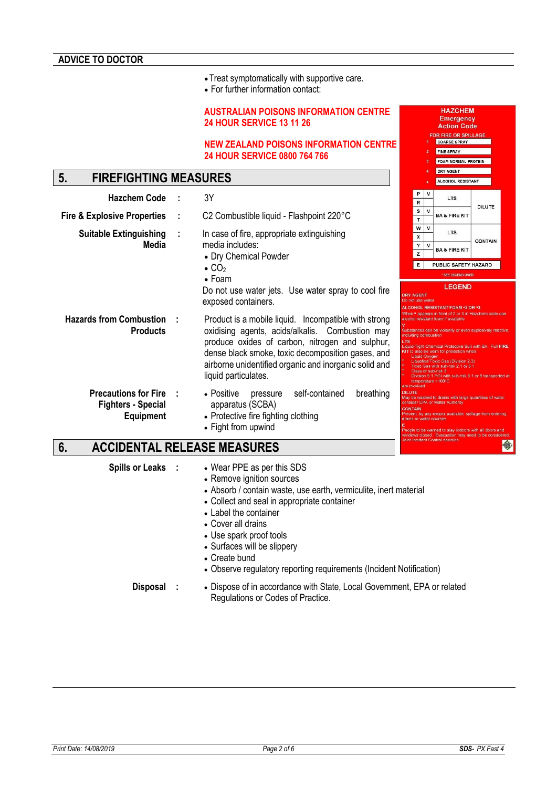•Treat symptomatically with supportive care.

• For further information contact:

#### **AUSTRALIAN POISONS INFORMATION CENTRE 24 HOUR SERVICE 13 11 26**

#### **NEW ZEALAND POISONS INFORMATION CENTRE 24 HOUR SERVICE 0800 764 766**

# **5. FIREFIGHTING MEASURES**

| <b>Hazchem Code</b>                                                   | 3Y                                                                                                                                                                                                                                                                                               |                                 | P<br>R                                                | v      | <b>LTS</b>                                                                                                                                                                                                                                                                                                                                                                                                                             |                |
|-----------------------------------------------------------------------|--------------------------------------------------------------------------------------------------------------------------------------------------------------------------------------------------------------------------------------------------------------------------------------------------|---------------------------------|-------------------------------------------------------|--------|----------------------------------------------------------------------------------------------------------------------------------------------------------------------------------------------------------------------------------------------------------------------------------------------------------------------------------------------------------------------------------------------------------------------------------------|----------------|
| <b>Fire &amp; Explosive Properties</b>                                | C2 Combustible liquid - Flashpoint 220°C                                                                                                                                                                                                                                                         |                                 | S<br>T                                                | v      | <b>BA &amp; FIRE KIT</b>                                                                                                                                                                                                                                                                                                                                                                                                               | <b>DILUTE</b>  |
| <b>Suitable Extinguishing</b><br>Media                                | In case of fire, appropriate extinguishing<br>media includes:<br>• Dry Chemical Powder<br>$\bullet$ CO <sub>2</sub>                                                                                                                                                                              |                                 | w<br>x<br>Υ<br>z<br>E                                 | v<br>v | <b>LTS</b><br><b>BA &amp; FIRE KIT</b><br>PUBLIC SAFETY HAZARD                                                                                                                                                                                                                                                                                                                                                                         | <b>CONTAIN</b> |
|                                                                       | $\bullet$ Foam<br>Do not use water jets. Use water spray to cool fire<br>exposed containers.                                                                                                                                                                                                     |                                 | <b>DRY AGENT</b><br>Do not use water                  |        | * SEE LEGEND OVER<br><b>LEGEND</b><br>ALCOHOL RESISTANT FOAM *2 OR *3                                                                                                                                                                                                                                                                                                                                                                  |                |
| <b>Hazards from Combustion</b><br><b>Products</b>                     | Product is a mobile liquid. Incompatible with strong<br>oxidising agents, acids/alkalis. Combustion may<br>produce oxides of carbon, nitrogen and sulphur,<br>dense black smoke, toxic decomposition gases, and<br>airborne unidentified organic and inorganic solid and<br>liquid particulates. | <b>LTS</b>                      | including combustion<br>Liquid Oxvgen<br>are involved |        | When • appears in front of 2 or 3 in Hazchem code<br>alcohol resistant foam if available<br>Substances can be violently or even explosively re<br>Liquid-Tight Chemical Protective Suit with BA. Ful<br>KIT to also be worn for protection when:<br>Liquefied Toxic Gas (Division 2.3)<br>Toxic Gas with sub-risk 2.1 or 5.1<br>Class or sub-risk 3<br>Division 5.1 PGI with sub-risk 6.1 or 8 transpo<br>temperature $>100^{\circ}$ C |                |
| <b>Precautions for Fire</b><br><b>Fighters - Special</b><br>Equipment | self-contained<br>breathing<br>• Positive<br>pressure<br>apparatus (SCBA)<br>• Protective fire fighting clothing<br>• Fight from upwind                                                                                                                                                          | <b>DILUTE</b><br><b>CONTAIN</b> |                                                       |        | May be washed to drains with large quantities of w<br>consider EPA or Water Authority<br>Prevent, by any means available, spillage from ent<br>drains or water courses<br>People to be warned to stay indoors with all doors                                                                                                                                                                                                           |                |

# **6. ACCIDENTAL RELEASE MEASURES**

- **Spills or Leaks :** Wear PPE as per this SDS
	- Remove ignition sources
	- Absorb / contain waste, use earth, vermiculite, inert material
	- Collect and seal in appropriate container
	- Label the container
	- Cover all drains
	- Use spark proof tools
	- Surfaces will be slippery
	- Create bund
	- Observe regulatory reporting requirements (Incident Notification)

**Disposal :** • Dispose of in accordance with State, Local Government, EPA or related Regulations or Codes of Practice.

**HAZCHEM** Emergency **Action Code** OR FIRE OR SPILLAGE COARSE SPRAY FINE SPRAY FOAM NORMAL PROTEIN DRY AGENT ALCOHOL RESISTANT

oint Incident Control dec

Suit with BA. Full FIRE

今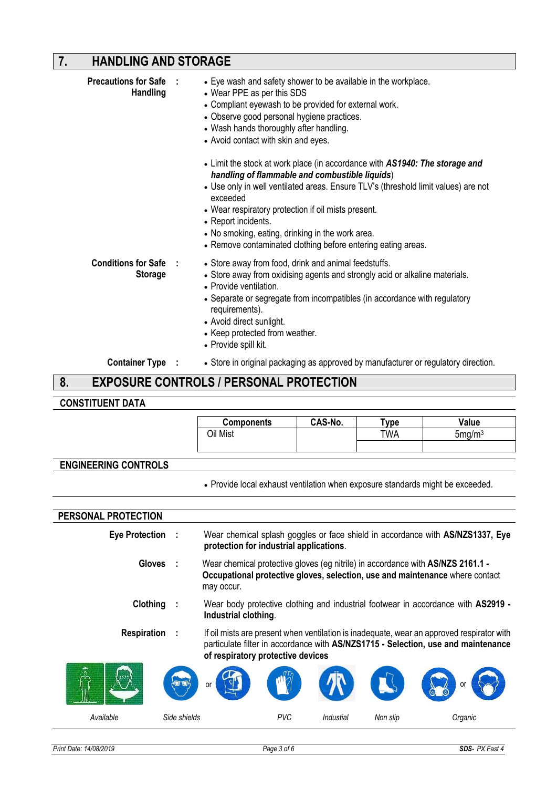# **7. HANDLING AND STORAGE**

| <b>Precautions for Safe :</b><br><b>Handling</b> | • Eye wash and safety shower to be available in the workplace.<br>• Wear PPE as per this SDS<br>• Compliant eyewash to be provided for external work.<br>• Observe good personal hygiene practices.<br>• Wash hands thoroughly after handling.<br>• Avoid contact with skin and eyes.<br>• Limit the stock at work place (in accordance with AS1940: The storage and<br>handling of flammable and combustible liquids)<br>• Use only in well ventilated areas. Ensure TLV's (threshold limit values) are not<br>exceeded<br>• Wear respiratory protection if oil mists present.<br>• Report incidents.<br>• No smoking, eating, drinking in the work area.<br>• Remove contaminated clothing before entering eating areas. |
|--------------------------------------------------|----------------------------------------------------------------------------------------------------------------------------------------------------------------------------------------------------------------------------------------------------------------------------------------------------------------------------------------------------------------------------------------------------------------------------------------------------------------------------------------------------------------------------------------------------------------------------------------------------------------------------------------------------------------------------------------------------------------------------|
| <b>Conditions for Safe :</b><br><b>Storage</b>   | • Store away from food, drink and animal feedstuffs.<br>• Store away from oxidising agents and strongly acid or alkaline materials.<br>• Provide ventilation.<br>• Separate or segregate from incompatibles (in accordance with regulatory<br>requirements).<br>• Avoid direct sunlight.<br>• Keep protected from weather.<br>• Provide spill kit.                                                                                                                                                                                                                                                                                                                                                                         |
| <b>Container Type :</b>                          | • Store in original packaging as approved by manufacturer or regulatory direction.                                                                                                                                                                                                                                                                                                                                                                                                                                                                                                                                                                                                                                         |
| 8.                                               | <b>EXPOSURE CONTROLS / PERSONAL PROTECTION</b>                                                                                                                                                                                                                                                                                                                                                                                                                                                                                                                                                                                                                                                                             |

### **8. EXPOSURE CONTROLS / PERSONAL PROTECTION**

# **CONSTITUENT DATA**

|                             | <b>Components</b>                                                                                                                                                             | CAS-No. | Type | Value                                                                                                                                                                          |
|-----------------------------|-------------------------------------------------------------------------------------------------------------------------------------------------------------------------------|---------|------|--------------------------------------------------------------------------------------------------------------------------------------------------------------------------------|
|                             | Oil Mist                                                                                                                                                                      |         | TWA  | 5mg/m <sup>3</sup>                                                                                                                                                             |
|                             |                                                                                                                                                                               |         |      |                                                                                                                                                                                |
|                             |                                                                                                                                                                               |         |      |                                                                                                                                                                                |
| <b>ENGINEERING CONTROLS</b> |                                                                                                                                                                               |         |      |                                                                                                                                                                                |
|                             | • Provide local exhaust ventilation when exposure standards might be exceeded.                                                                                                |         |      |                                                                                                                                                                                |
|                             |                                                                                                                                                                               |         |      |                                                                                                                                                                                |
| PERSONAL PROTECTION         |                                                                                                                                                                               |         |      |                                                                                                                                                                                |
| Eye Protection :            | protection for industrial applications.                                                                                                                                       |         |      | Wear chemical splash goggles or face shield in accordance with AS/NZS1337, Eye                                                                                                 |
| Gloves :                    | Wear chemical protective gloves (eg nitrile) in accordance with AS/NZS 2161.1 -<br>Occupational protective gloves, selection, use and maintenance where contact<br>may occur. |         |      |                                                                                                                                                                                |
| Clothing                    | Industrial clothing.                                                                                                                                                          |         |      | Wear body protective clothing and industrial footwear in accordance with AS2919 -                                                                                              |
| Respiration                 | of respiratory protective devices                                                                                                                                             |         |      | If oil mists are present when ventilation is inadequate, wear an approved respirator with<br>particulate filter in accordance with AS/NZS1715 - Selection, use and maintenance |
|                             |                                                                                                                                                                               |         |      |                                                                                                                                                                                |

| w<br>M    | $\tau$<br><b>COLLEGE</b><br>河口<br>or | m <sub>o</sub> | TIER      | <b>The Second Service</b> | ⋓       |
|-----------|--------------------------------------|----------------|-----------|---------------------------|---------|
| Available | Side shields                         | <b>PVC</b>     | Industial | Non slip                  | Organic |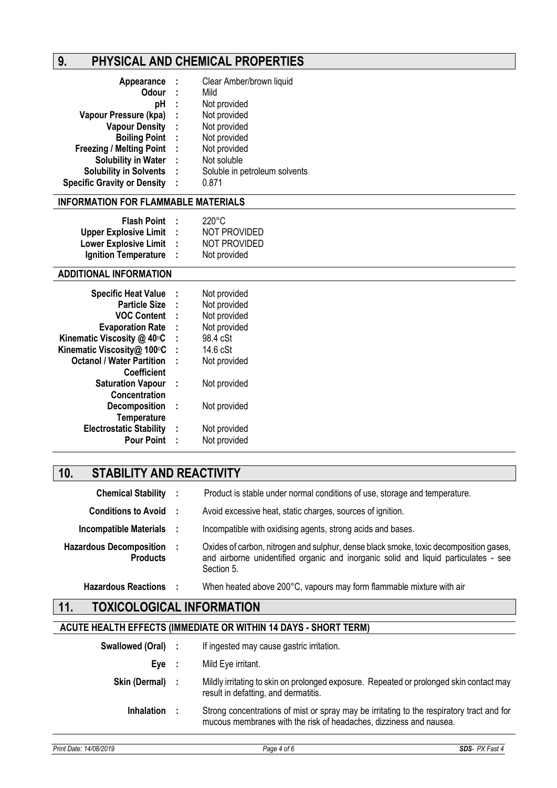# **9. PHYSICAL AND CHEMICAL PROPERTIES**

| Appearance                         | - 1  | Clear Amber/brown liquid      |
|------------------------------------|------|-------------------------------|
| <b>Odour</b>                       | - 1  | Mild                          |
| рH                                 | ÷    | Not provided                  |
| Vapour Pressure (kpa)              | - 1  | Not provided                  |
| <b>Vapour Density</b>              | - 11 | Not provided                  |
| <b>Boiling Point</b>               | - 1  | Not provided                  |
| <b>Freezing / Melting Point</b>    | - 1  | Not provided                  |
| <b>Solubility in Water</b>         | - 1  | Not soluble                   |
| <b>Solubility in Solvents</b>      | - 1  | Soluble in petroleum solvents |
| <b>Specific Gravity or Density</b> | ÷    | 0.871                         |

#### **INFORMATION FOR FLAMMABLE MATERIALS**

|                              |    | $220^{\circ}$ C     |
|------------------------------|----|---------------------|
| <b>Flash Point</b>           |    |                     |
| <b>Upper Explosive Limit</b> | л. | <b>NOT PROVIDED</b> |
| <b>Lower Explosive Limit</b> | л. | <b>NOT PROVIDED</b> |
| <b>Ignition Temperature</b>  | л. | Not provided        |

### **ADDITIONAL INFORMATION**

| I | Not provided |
|---|--------------|
| ÷ | Not provided |
| ÷ | Not provided |
| ÷ | Not provided |
| ÷ | 98.4 cSt     |
| ÷ | 14.6 cSt     |
| t | Not provided |
|   |              |
| ÷ | Not provided |
|   |              |
| ÷ | Not provided |
|   |              |
| ÷ | Not provided |
| t | Not provided |
|   |              |

# **10. STABILITY AND REACTIVITY**

| <b>Chemical Stability :</b>                       | Product is stable under normal conditions of use, storage and temperature.                                                                                                                 |
|---------------------------------------------------|--------------------------------------------------------------------------------------------------------------------------------------------------------------------------------------------|
| <b>Conditions to Avoid :</b>                      | Avoid excessive heat, static charges, sources of ignition.                                                                                                                                 |
| Incompatible Materials :                          | Incompatible with oxidising agents, strong acids and bases.                                                                                                                                |
| <b>Hazardous Decomposition</b><br><b>Products</b> | Oxides of carbon, nitrogen and sulphur, dense black smoke, toxic decomposition gases,<br>and airborne unidentified organic and inorganic solid and liquid particulates - see<br>Section 5. |
| <b>Hazardous Reactions</b>                        | When heated above 200°C, vapours may form flammable mixture with air                                                                                                                       |

# **11. TOXICOLOGICAL INFORMATION**

### **ACUTE HEALTH EFFECTS (IMMEDIATE OR WITHIN 14 DAYS - SHORT TERM)**

| Swallowed (Oral) : |     | If ingested may cause gastric irritation.                                                                                                                       |
|--------------------|-----|-----------------------------------------------------------------------------------------------------------------------------------------------------------------|
| Eve                | - 1 | Mild Eye irritant.                                                                                                                                              |
| Skin (Dermal) :    |     | Mildly irritating to skin on prolonged exposure. Repeated or prolonged skin contact may<br>result in defatting, and dermatitis.                                 |
| <b>Inhalation</b>  |     | Strong concentrations of mist or spray may be irritating to the respiratory tract and for<br>mucous membranes with the risk of headaches, dizziness and nausea. |
|                    |     |                                                                                                                                                                 |

*Print Date: 14/08/2019 Page 4 of 6 SDS- PX Fast 4*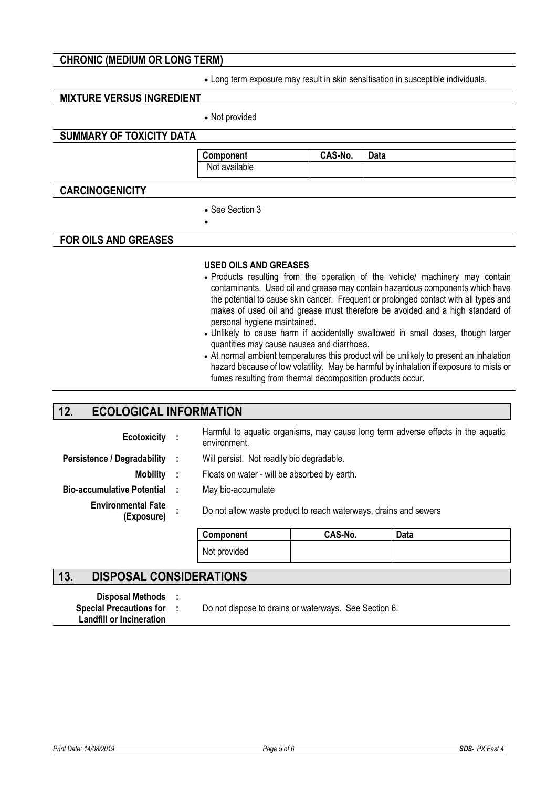### **CHRONIC (MEDIUM OR LONG TERM)**

• Long term exposure may result in skin sensitisation in susceptible individuals.

### **MIXTURE VERSUS INGREDIENT**

• Not provided

### **SUMMARY OF TOXICITY DATA**

**Component CAS-No. Data**  Not available

### **CARCINOGENICITY**

• See Section 3

•

#### **FOR OILS AND GREASES**

#### **USED OILS AND GREASES**

- Products resulting from the operation of the vehicle/ machinery may contain contaminants. Used oil and grease may contain hazardous components which have the potential to cause skin cancer. Frequent or prolonged contact with all types and makes of used oil and grease must therefore be avoided and a high standard of personal hygiene maintained.
- Unlikely to cause harm if accidentally swallowed in small doses, though larger quantities may cause nausea and diarrhoea.
- At normal ambient temperatures this product will be unlikely to present an inhalation hazard because of low volatility. May be harmful by inhalation if exposure to mists or fumes resulting from thermal decomposition products occur.

# **12. ECOLOGICAL INFORMATION**

| Ecotoxicity :                           |                | environment.                                                     |         | Harmful to aquatic organisms, may cause long term adverse effects in the aquatic |
|-----------------------------------------|----------------|------------------------------------------------------------------|---------|----------------------------------------------------------------------------------|
| <b>Persistence / Degradability</b>      |                | Will persist. Not readily bio degradable.                        |         |                                                                                  |
| <b>Mobility</b>                         | $\mathbb{R}^n$ | Floats on water - will be absorbed by earth.                     |         |                                                                                  |
| <b>Bio-accumulative Potential</b>       |                | May bio-accumulate                                               |         |                                                                                  |
| <b>Environmental Fate</b><br>(Exposure) |                | Do not allow waste product to reach waterways, drains and sewers |         |                                                                                  |
|                                         |                | Component                                                        | CAS-No. | <b>Data</b>                                                                      |
|                                         |                | Not provided                                                     |         |                                                                                  |

### **13. DISPOSAL CONSIDERATIONS**

**Disposal Methods : Landfill or Incineration Special Precautions for :** 

Do not dispose to drains or waterways. See Section 6.